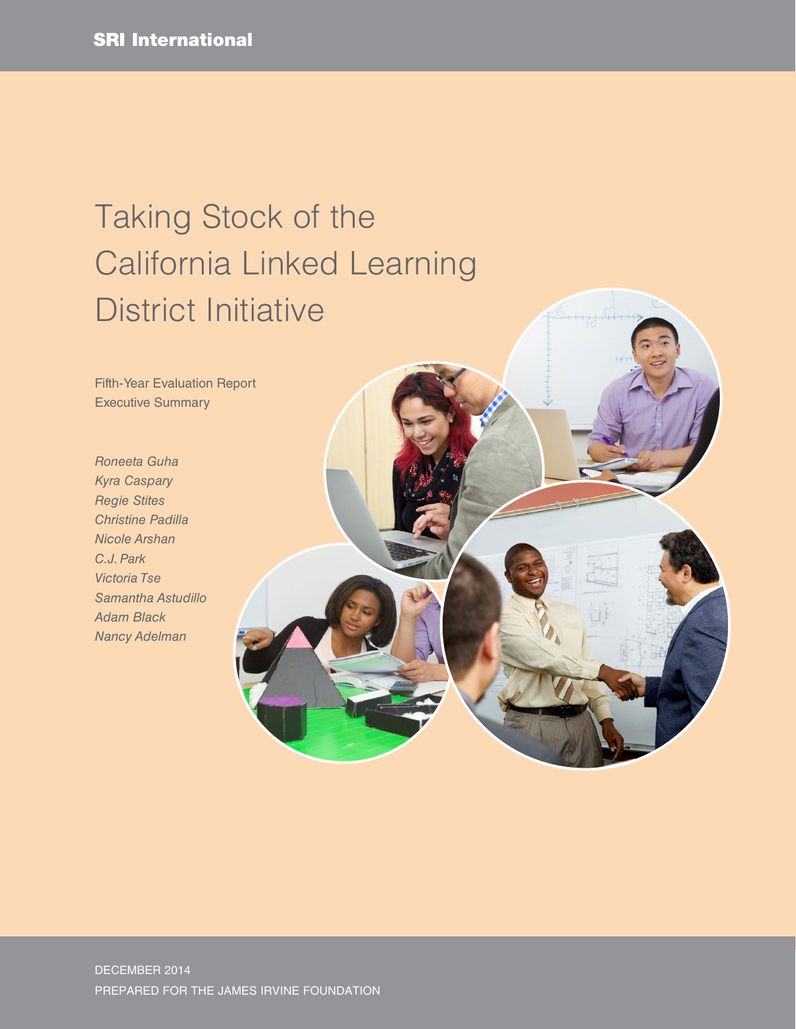# Taking Stock of the California Linked Learning District Initiative

Fifth-Year Evaluation Report Executive Summary

*Roneeta Guha Kyra Caspary Regie Stites Christine Padilla Nicole Arshan C.J. Park Victoria Tse Samantha Astudillo Adam Black Nancy Adelman*

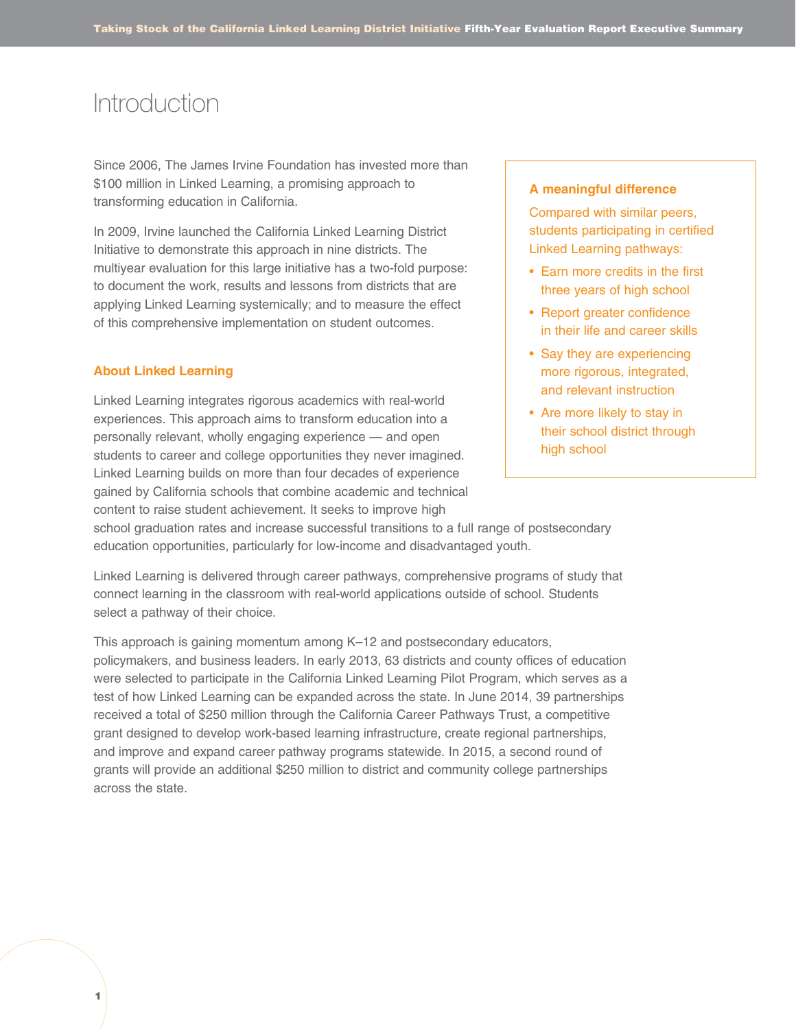### **Introduction**

Since 2006, The James Irvine Foundation has invested more than \$100 million in Linked Learning, a promising approach to transforming education in California.

In 2009, Irvine launched the California Linked Learning District Initiative to demonstrate this approach in nine districts. The multiyear evaluation for this large initiative has a two-fold purpose: to document the work, results and lessons from districts that are applying Linked Learning systemically; and to measure the effect of this comprehensive implementation on student outcomes.

### **About Linked Learning**

Linked Learning integrates rigorous academics with real-world experiences. This approach aims to transform education into a personally relevant, wholly engaging experience — and open students to career and college opportunities they never imagined. Linked Learning builds on more than four decades of experience gained by California schools that combine academic and technical content to raise student achievement. It seeks to improve high

### **A meaningful difference**

Compared with similar peers, students participating in certified Linked Learning pathways:

- Earn more credits in the first three years of high school
- Report greater confidence in their life and career skills
- Say they are experiencing more rigorous, integrated, and relevant instruction
- Are more likely to stay in their school district through high school

school graduation rates and increase successful transitions to a full range of postsecondary education opportunities, particularly for low-income and disadvantaged youth.

Linked Learning is delivered through career pathways, comprehensive programs of study that connect learning in the classroom with real-world applications outside of school. Students select a pathway of their choice.

This approach is gaining momentum among K–12 and postsecondary educators, policymakers, and business leaders. In early 2013, 63 districts and county offices of education were selected to participate in the California Linked Learning Pilot Program, which serves as a test of how Linked Learning can be expanded across the state. In June 2014, 39 partnerships received a total of \$250 million through the California Career Pathways Trust, a competitive grant designed to develop work-based learning infrastructure, create regional partnerships, and improve and expand career pathway programs statewide. In 2015, a second round of grants will provide an additional \$250 million to district and community college partnerships across the state.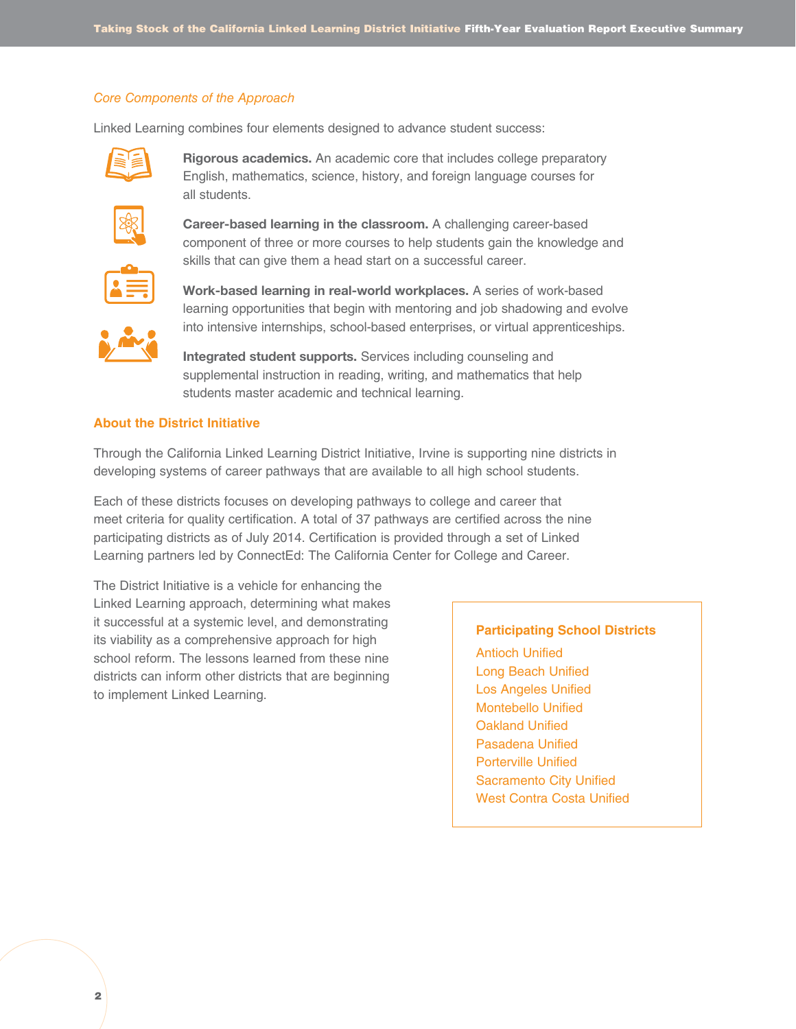### *Core Components of the Approach*

Linked Learning combines four elements designed to advance student success:



Rigorous academics. An academic core that includes college preparatory English, mathematics, science, history, and foreign language courses for all students.



Career-based learning in the classroom. A challenging career-based component of three or more courses to help students gain the knowledge and skills that can give them a head start on a successful career.



Work-based learning in real-world workplaces. A series of work-based learning opportunities that begin with mentoring and job shadowing and evolve into intensive internships, school-based enterprises, or virtual apprenticeships.

Integrated student supports. Services including counseling and supplemental instruction in reading, writing, and mathematics that help students master academic and technical learning.

### **About the District Initiative**

Through the California Linked Learning District Initiative, Irvine is supporting nine districts in developing systems of career pathways that are available to all high school students.

Each of these districts focuses on developing pathways to college and career that meet criteria for quality certification. A total of 37 pathways are certified across the nine participating districts as of July 2014. Certification is provided through a set of Linked Learning partners led by ConnectEd: The California Center for College and Career.

The District Initiative is a vehicle for enhancing the Linked Learning approach, determining what makes it successful at a systemic level, and demonstrating its viability as a comprehensive approach for high school reform. The lessons learned from these nine districts can inform other districts that are beginning to implement Linked Learning.

#### **Participating School Districts**

Antioch Unified Long Beach Unified Los Angeles Unified Montebello Unified Oakland Unified Pasadena Unified Porterville Unified Sacramento City Unified West Contra Costa Unified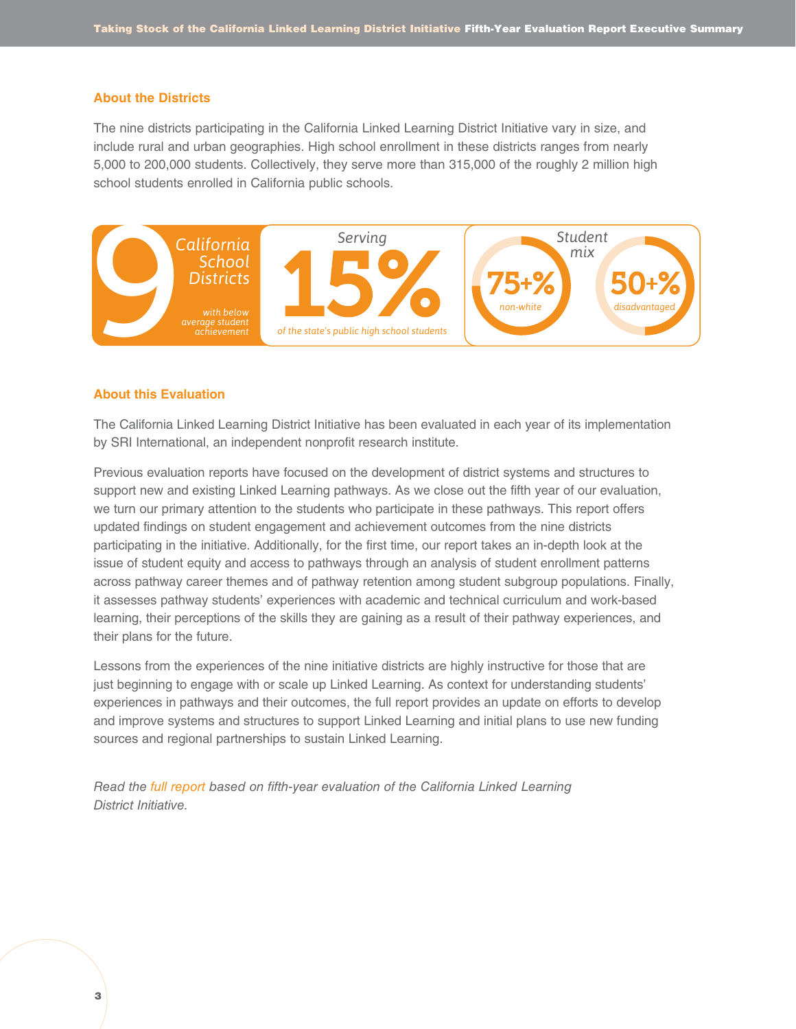#### **About the Districts**

The nine districts participating in the California Linked Learning District Initiative vary in size, and include rural and urban geographies. High school enrollment in these districts ranges from nearly 5,000 to 200,000 students. Collectively, they serve more than 315,000 of the roughly 2 million high school students enrolled in California public schools.



### **About this Evaluation**

The California Linked Learning District Initiative has been evaluated in each year of its implementation by SRI International, an independent nonprofit research institute.

Previous evaluation reports have focused on the development of district systems and structures to support new and existing Linked Learning pathways. As we close out the fifth year of our evaluation, we turn our primary attention to the students who participate in these pathways. This report offers updated findings on student engagement and achievement outcomes from the nine districts participating in the initiative. Additionally, for the first time, our report takes an in-depth look at the issue of student equity and access to pathways through an analysis of student enrollment patterns across pathway career themes and of pathway retention among student subgroup populations. Finally, it assesses pathway students' experiences with academic and technical curriculum and work-based learning, their perceptions of the skills they are gaining as a result of their pathway experiences, and their plans for the future.

Lessons from the experiences of the nine initiative districts are highly instructive for those that are just beginning to engage with or scale up Linked Learning. As context for understanding students' experiences in pathways and their outcomes, the full report provides an update on efforts to develop and improve systems and structures to support Linked Learning and initial plans to use new funding sources and regional partnerships to sustain Linked Learning.

*Read the [full report](http://irvine.org/images/stories/pdf/grantmaking/year5linkedlearningevaluationreportdec2015.pdf) based on fifth-year evaluation of the California Linked Learning District Initiative.*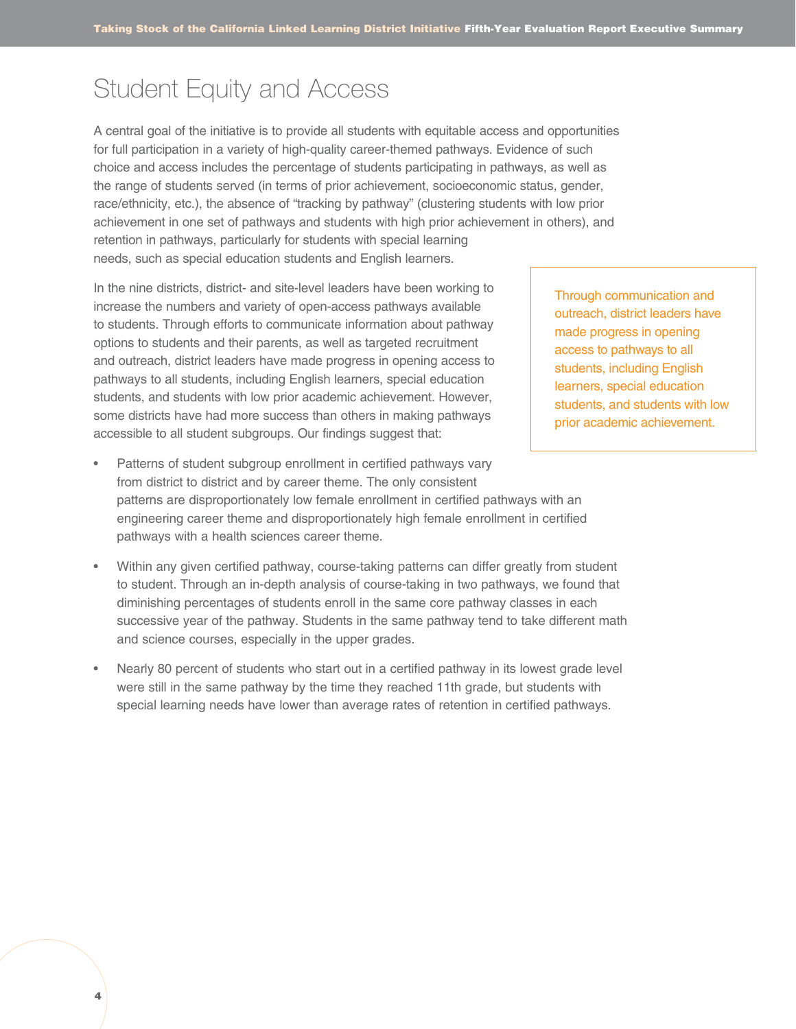### Student Equity and Access

A central goal of the initiative is to provide all students with equitable access and opportunities for full participation in a variety of high-quality career-themed pathways. Evidence of such choice and access includes the percentage of students participating in pathways, as well as the range of students served (in terms of prior achievement, socioeconomic status, gender, race/ethnicity, etc.), the absence of "tracking by pathway" (clustering students with low prior achievement in one set of pathways and students with high prior achievement in others), and retention in pathways, particularly for students with special learning needs, such as special education students and English learners.

In the nine districts, district- and site-level leaders have been working to increase the numbers and variety of open-access pathways available to students. Through efforts to communicate information about pathway options to students and their parents, as well as targeted recruitment and outreach, district leaders have made progress in opening access to pathways to all students, including English learners, special education students, and students with low prior academic achievement. However, some districts have had more success than others in making pathways accessible to all student subgroups. Our findings suggest that:

- Through communication and outreach, district leaders have made progress in opening access to pathways to all students, including English learners, special education students, and students with low prior academic achievement.
- Patterns of student subgroup enrollment in certified pathways vary from district to district and by career theme. The only consistent patterns are disproportionately low female enrollment in certified pathways with an engineering career theme and disproportionately high female enrollment in certified pathways with a health sciences career theme.
- Within any given certified pathway, course-taking patterns can differ greatly from student to student. Through an in-depth analysis of course-taking in two pathways, we found that diminishing percentages of students enroll in the same core pathway classes in each successive year of the pathway. Students in the same pathway tend to take different math and science courses, especially in the upper grades.
- Nearly 80 percent of students who start out in a certified pathway in its lowest grade level were still in the same pathway by the time they reached 11th grade, but students with special learning needs have lower than average rates of retention in certified pathways.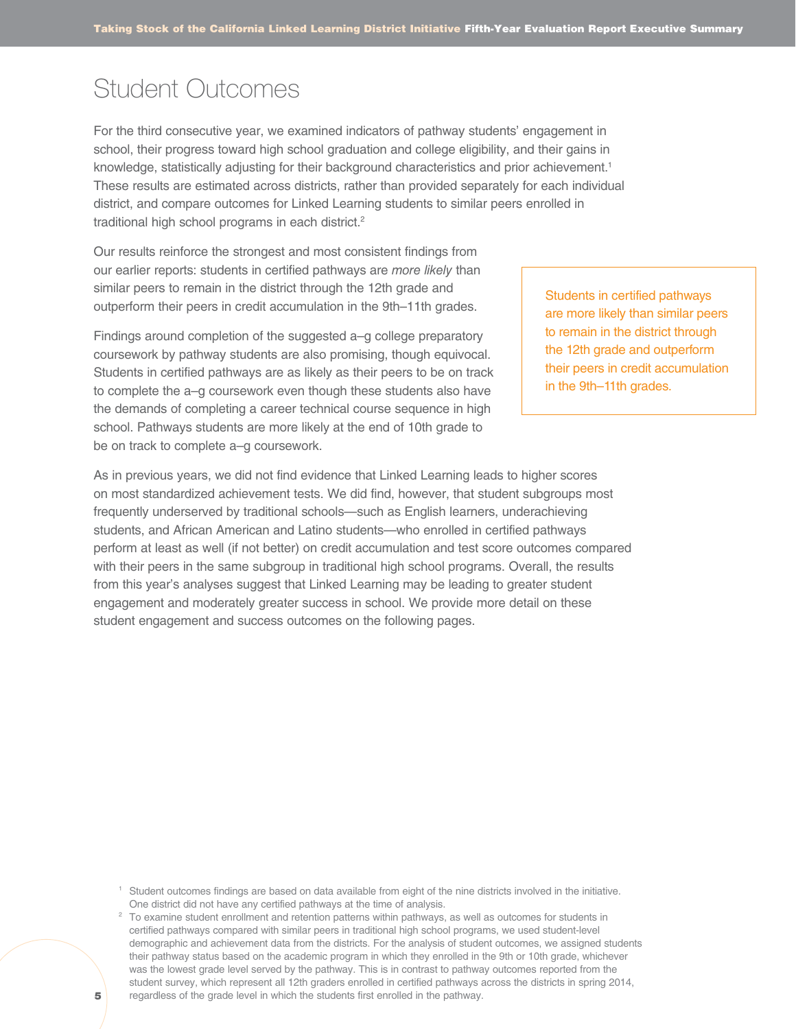# Student Outcomes

For the third consecutive year, we examined indicators of pathway students' engagement in school, their progress toward high school graduation and college eligibility, and their gains in knowledge, statistically adjusting for their background characteristics and prior achievement.<sup>1</sup> These results are estimated across districts, rather than provided separately for each individual district, and compare outcomes for Linked Learning students to similar peers enrolled in traditional high school programs in each district.<sup>2</sup>

Our results reinforce the strongest and most consistent findings from our earlier reports: students in certified pathways are *more likely* than similar peers to remain in the district through the 12th grade and outperform their peers in credit accumulation in the 9th–11th grades.

Findings around completion of the suggested a–g college preparatory coursework by pathway students are also promising, though equivocal. Students in certified pathways are as likely as their peers to be on track to complete the a–g coursework even though these students also have the demands of completing a career technical course sequence in high school. Pathways students are more likely at the end of 10th grade to be on track to complete a–g coursework.

As in previous years, we did not find evidence that Linked Learning leads to higher scores on most standardized achievement tests. We did find, however, that student subgroups most frequently underserved by traditional schools—such as English learners, underachieving students, and African American and Latino students—who enrolled in certified pathways perform at least as well (if not better) on credit accumulation and test score outcomes compared with their peers in the same subgroup in traditional high school programs. Overall, the results from this year's analyses suggest that Linked Learning may be leading to greater student engagement and moderately greater success in school. We provide more detail on these student engagement and success outcomes on the following pages.

<sup>1</sup> Student outcomes findings are based on data available from eight of the nine districts involved in the initiative. One district did not have any certified pathways at the time of analysis.

<sup>2</sup> To examine student enrollment and retention patterns within pathways, as well as outcomes for students in certified pathways compared with similar peers in traditional high school programs, we used student-level demographic and achievement data from the districts. For the analysis of student outcomes, we assigned students their pathway status based on the academic program in which they enrolled in the 9th or 10th grade, whichever was the lowest grade level served by the pathway. This is in contrast to pathway outcomes reported from the student survey, which represent all 12th graders enrolled in certified pathways across the districts in spring 2014, regardless of the grade level in which the students first enrolled in the pathway.

Students in certified pathways are more likely than similar peers to remain in the district through the 12th grade and outperform their peers in credit accumulation in the 9th–11th grades.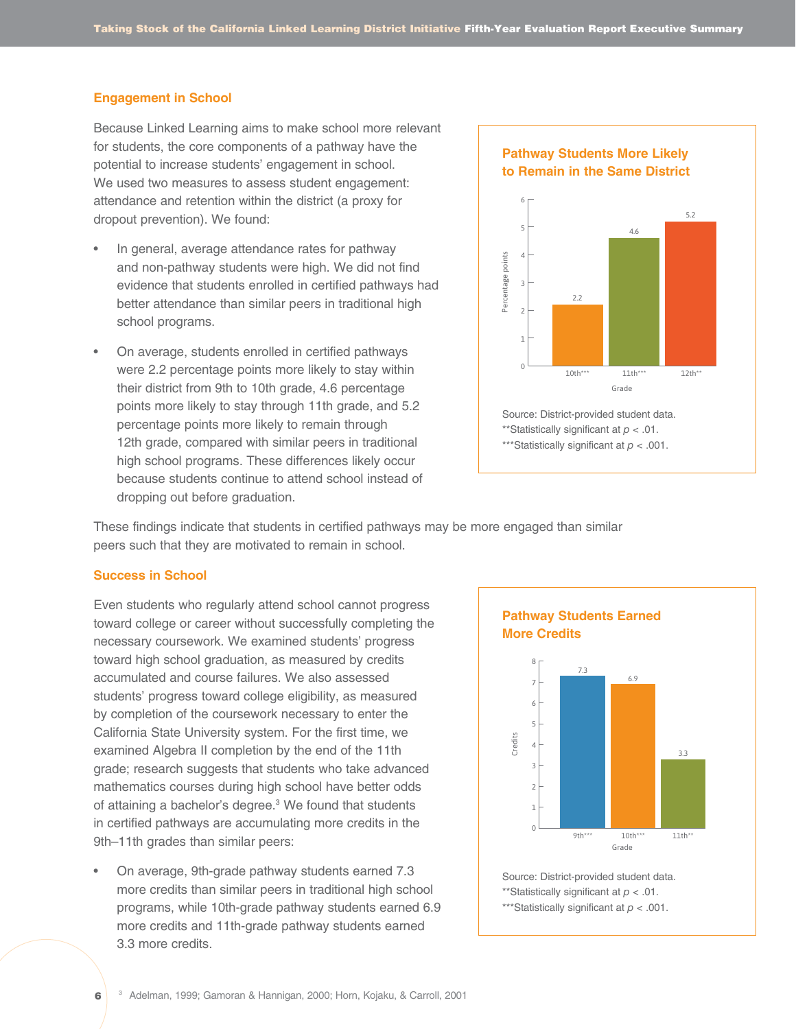#### **Engagement in School**

Because Linked Learning aims to make school more relevant for students, the core components of a pathway have the potential to increase students' engagement in school. We used two measures to assess student engagement: attendance and retention within the district (a proxy for dropout prevention). We found:

- In general, average attendance rates for pathway and non-pathway students were high. We did not find evidence that students enrolled in certified pathways had better attendance than similar peers in traditional high school programs.
- On average, students enrolled in certified pathways were 2.2 percentage points more likely to stay within their district from 9th to 10th grade, 4.6 percentage points more likely to stay through 11th grade, and 5.2 percentage points more likely to remain through 12th grade, compared with similar peers in traditional high school programs. These differences likely occur because students continue to attend school instead of dropping out before graduation.



<sup>\*\*\*</sup>Statistically significant at *p* < .001.

These findings indicate that students in certified pathways may be more engaged than similar peers such that they are motivated to remain in school.

#### **Success in School**

6

Even students who regularly attend school cannot progress toward college or career without successfully completing the necessary coursework. We examined students' progress toward high school graduation, as measured by credits accumulated and course failures. We also assessed students' progress toward college eligibility, as measured by completion of the coursework necessary to enter the California State University system. For the first time, we examined Algebra II completion by the end of the 11th grade; research suggests that students who take advanced mathematics courses during high school have better odds of attaining a bachelor's degree.<sup>3</sup> We found that students in certified pathways are accumulating more credits in the 9th–11th grades than similar peers:

• On average, 9th-grade pathway students earned 7.3 more credits than similar peers in traditional high school programs, while 10th-grade pathway students earned 6.9 more credits and 11th-grade pathway students earned 3.3 more credits.

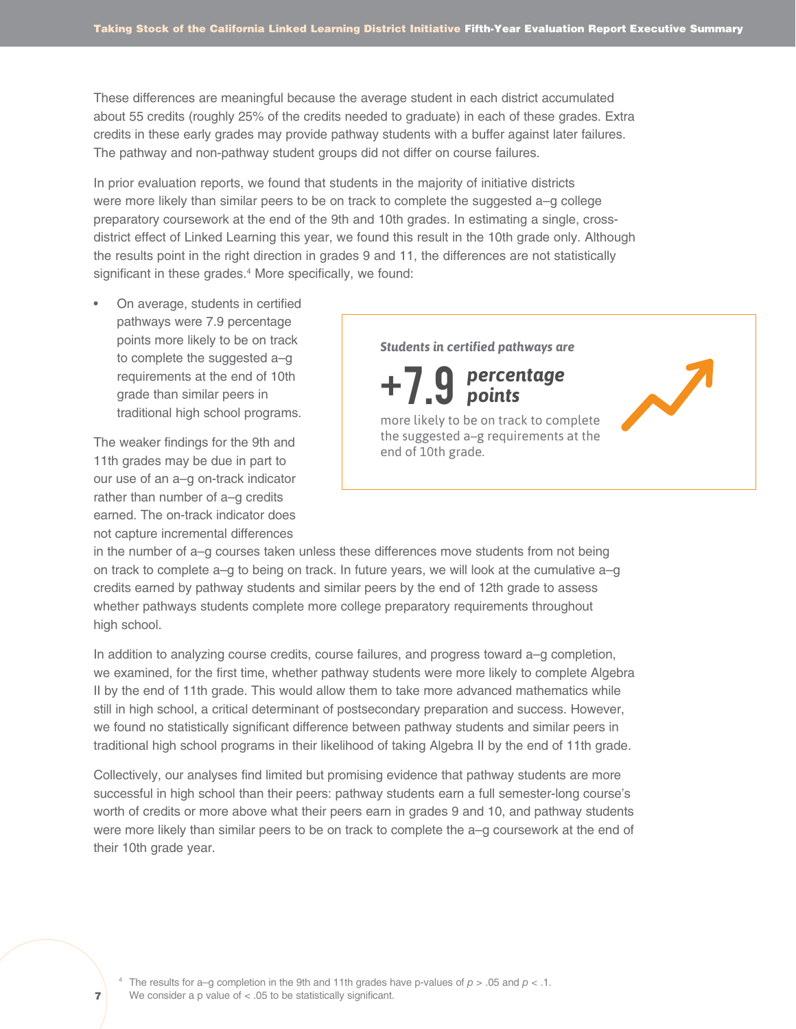These differences are meaningful because the average student in each district accumulated about 55 credits (roughly 25% of the credits needed to graduate) in each of these grades. Extra credits in these early grades may provide pathway students with a buffer against later failures. The pathway and non-pathway student groups did not differ on course failures.

In prior evaluation reports, we found that students in the majority of initiative districts were more likely than similar peers to be on track to complete the suggested a–g college preparatory coursework at the end of the 9th and 10th grades. In estimating a single, crossdistrict effect of Linked Learning this year, we found this result in the 10th grade only. Although the results point in the right direction in grades 9 and 11, the differences are not statistically significant in these grades.<sup>4</sup> More specifically, we found:

• On average, students in certified pathways were 7.9 percentage points more likely to be on track to complete the suggested a–g requirements at the end of 10th grade than similar peers in traditional high school programs.

The weaker findings for the 9th and 11th grades may be due in part to our use of an a–g on-track indicator rather than number of a–g credits earned. The on-track indicator does not capture incremental differences

*Students in certified pathways are percentage* +7.9 *points* more likely to be on track to complete the suggested a–g requirements at the end of 10th grade.

in the number of a–g courses taken unless these differences move students from not being on track to complete a–g to being on track. In future years, we will look at the cumulative a–g credits earned by pathway students and similar peers by the end of 12th grade to assess whether pathways students complete more college preparatory requirements throughout high school.

In addition to analyzing course credits, course failures, and progress toward a–g completion, we examined, for the first time, whether pathway students were more likely to complete Algebra II by the end of 11th grade. This would allow them to take more advanced mathematics while still in high school, a critical determinant of postsecondary preparation and success. However, we found no statistically significant difference between pathway students and similar peers in traditional high school programs in their likelihood of taking Algebra II by the end of 11th grade.

Collectively, our analyses find limited but promising evidence that pathway students are more successful in high school than their peers: pathway students earn a full semester-long course's worth of credits or more above what their peers earn in grades 9 and 10, and pathway students were more likely than similar peers to be on track to complete the a–g coursework at the end of their 10th grade year.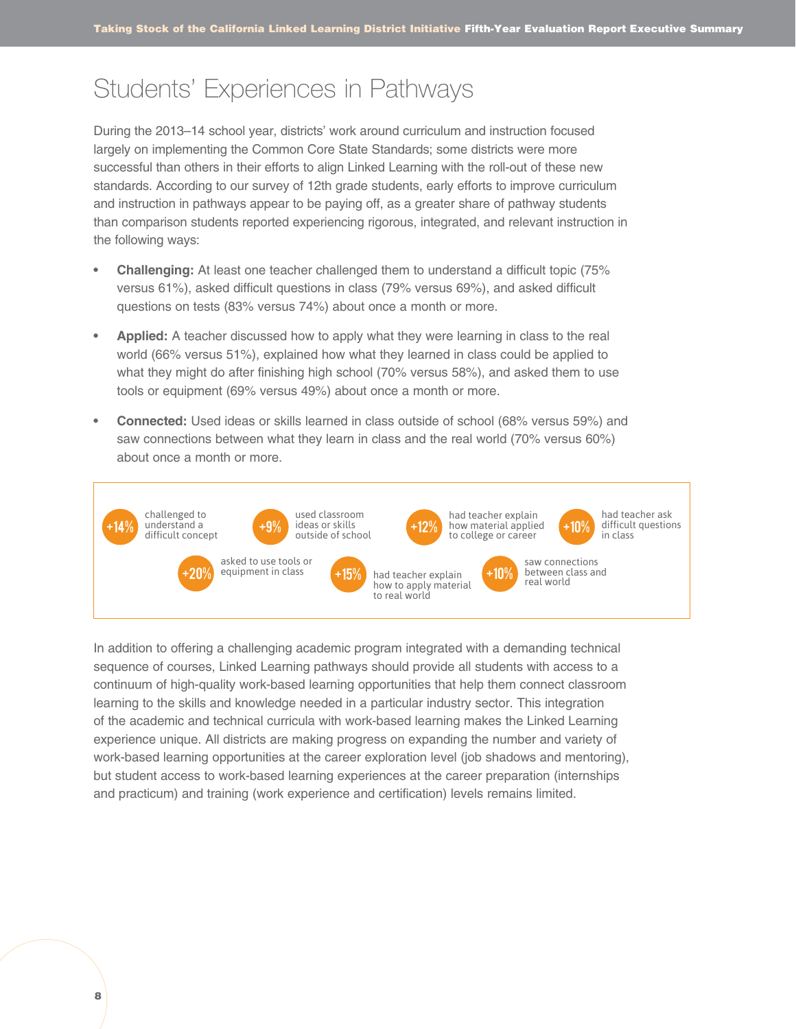### Students' Experiences in Pathways

During the 2013–14 school year, districts' work around curriculum and instruction focused largely on implementing the Common Core State Standards; some districts were more successful than others in their efforts to align Linked Learning with the roll-out of these new standards. According to our survey of 12th grade students, early efforts to improve curriculum and instruction in pathways appear to be paying off, as a greater share of pathway students than comparison students reported experiencing rigorous, integrated, and relevant instruction in the following ways:

- **• Challenging:** At least one teacher challenged them to understand a difficult topic (75% versus 61%), asked difficult questions in class (79% versus 69%), and asked difficult questions on tests (83% versus 74%) about once a month or more.
- **• Applied:** A teacher discussed how to apply what they were learning in class to the real world (66% versus 51%), explained how what they learned in class could be applied to what they might do after finishing high school (70% versus 58%), and asked them to use tools or equipment (69% versus 49%) about once a month or more.
- **• Connected:** Used ideas or skills learned in class outside of school (68% versus 59%) and saw connections between what they learn in class and the real world (70% versus 60%) about once a month or more.



In addition to offering a challenging academic program integrated with a demanding technical sequence of courses, Linked Learning pathways should provide all students with access to a continuum of high-quality work-based learning opportunities that help them connect classroom learning to the skills and knowledge needed in a particular industry sector. This integration of the academic and technical curricula with work-based learning makes the Linked Learning experience unique. All districts are making progress on expanding the number and variety of work-based learning opportunities at the career exploration level (job shadows and mentoring), but student access to work-based learning experiences at the career preparation (internships and practicum) and training (work experience and certification) levels remains limited.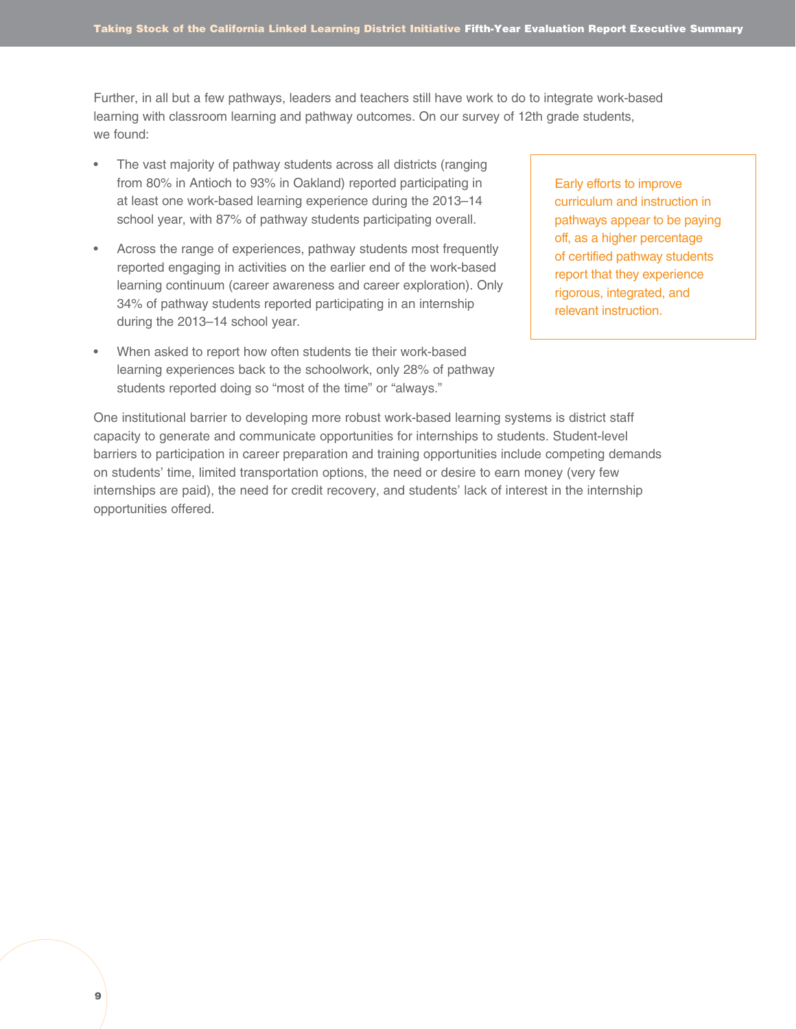Further, in all but a few pathways, leaders and teachers still have work to do to integrate work-based learning with classroom learning and pathway outcomes. On our survey of 12th grade students, we found:

- The vast majority of pathway students across all districts (ranging from 80% in Antioch to 93% in Oakland) reported participating in at least one work-based learning experience during the 2013–14 school year, with 87% of pathway students participating overall.
- Across the range of experiences, pathway students most frequently reported engaging in activities on the earlier end of the work-based learning continuum (career awareness and career exploration). Only 34% of pathway students reported participating in an internship during the 2013–14 school year.
- When asked to report how often students tie their work-based learning experiences back to the schoolwork, only 28% of pathway students reported doing so "most of the time" or "always."

Early efforts to improve curriculum and instruction in pathways appear to be paying off, as a higher percentage of certified pathway students report that they experience rigorous, integrated, and relevant instruction.

One institutional barrier to developing more robust work-based learning systems is district staff capacity to generate and communicate opportunities for internships to students. Student-level barriers to participation in career preparation and training opportunities include competing demands on students' time, limited transportation options, the need or desire to earn money (very few internships are paid), the need for credit recovery, and students' lack of interest in the internship opportunities offered.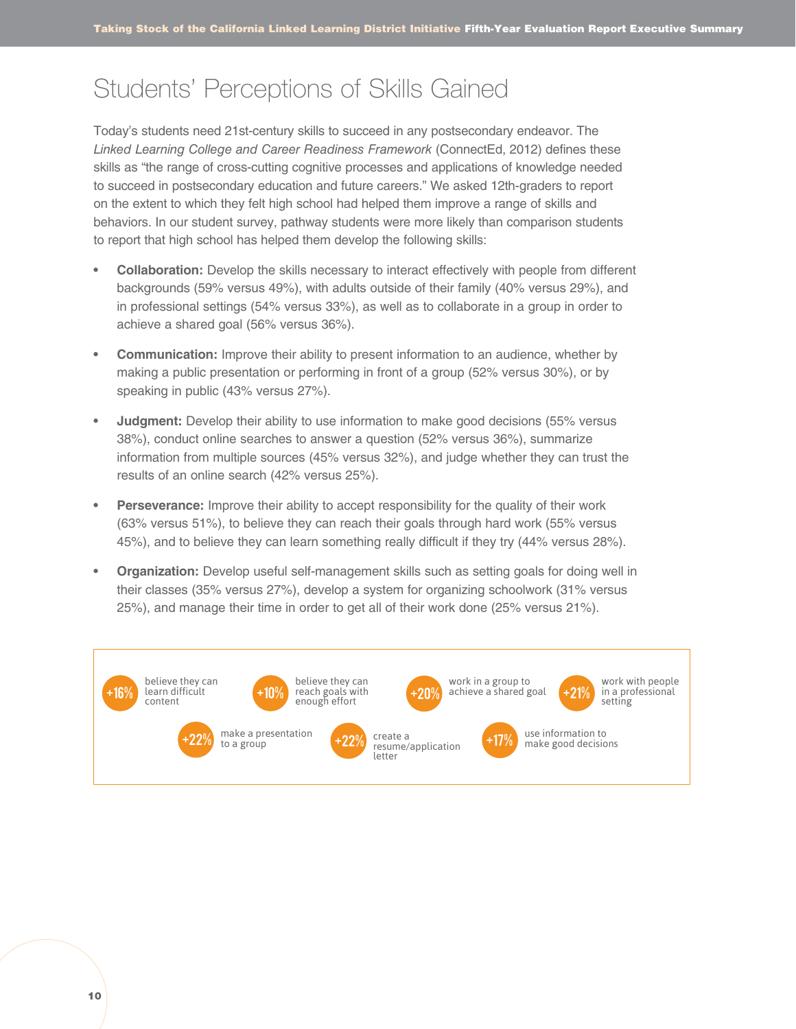### Students' Perceptions of Skills Gained

Today's students need 21st-century skills to succeed in any postsecondary endeavor. The *Linked Learning College and Career Readiness Framework* (ConnectEd, 2012) defines these skills as "the range of cross-cutting cognitive processes and applications of knowledge needed to succeed in postsecondary education and future careers." We asked 12th-graders to report on the extent to which they felt high school had helped them improve a range of skills and behaviors. In our student survey, pathway students were more likely than comparison students to report that high school has helped them develop the following skills:

- **• Collaboration:** Develop the skills necessary to interact effectively with people from different backgrounds (59% versus 49%), with adults outside of their family (40% versus 29%), and in professional settings (54% versus 33%), as well as to collaborate in a group in order to achieve a shared goal (56% versus 36%).
- **• Communication:** Improve their ability to present information to an audience, whether by making a public presentation or performing in front of a group (52% versus 30%), or by speaking in public (43% versus 27%).
- **• Judgment:** Develop their ability to use information to make good decisions (55% versus 38%), conduct online searches to answer a question (52% versus 36%), summarize information from multiple sources (45% versus 32%), and judge whether they can trust the results of an online search (42% versus 25%).
- **• Perseverance:** Improve their ability to accept responsibility for the quality of their work (63% versus 51%), to believe they can reach their goals through hard work (55% versus 45%), and to believe they can learn something really difficult if they try (44% versus 28%).
- **• Organization:** Develop useful self-management skills such as setting goals for doing well in their classes (35% versus 27%), develop a system for organizing schoolwork (31% versus 25%), and manage their time in order to get all of their work done (25% versus 21%).

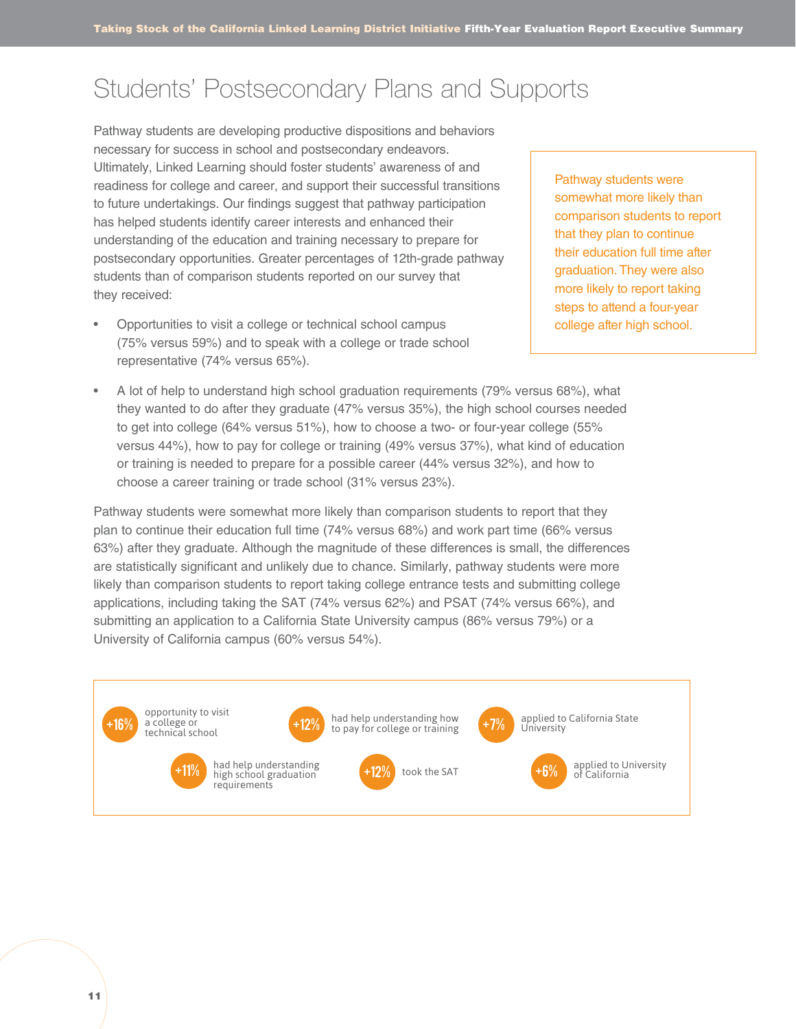# Students' Postsecondary Plans and Supports

Pathway students are developing productive dispositions and behaviors necessary for success in school and postsecondary endeavors. Ultimately, Linked Learning should foster students' awareness of and readiness for college and career, and support their successful transitions to future undertakings. Our findings suggest that pathway participation has helped students identify career interests and enhanced their understanding of the education and training necessary to prepare for postsecondary opportunities. Greater percentages of 12th-grade pathway students than of comparison students reported on our survey that they received:

• Opportunities to visit a college or technical school campus (75% versus 59%) and to speak with a college or trade school representative (74% versus 65%).

Pathway students were somewhat more likely than comparison students to report that they plan to continue their education full time after graduation. They were also more likely to report taking steps to attend a four-year college after high school.

• A lot of help to understand high school graduation requirements (79% versus 68%), what they wanted to do after they graduate (47% versus 35%), the high school courses needed to get into college (64% versus 51%), how to choose a two- or four-year college (55% versus 44%), how to pay for college or training (49% versus 37%), what kind of education or training is needed to prepare for a possible career (44% versus 32%), and how to choose a career training or trade school (31% versus 23%).

Pathway students were somewhat more likely than comparison students to report that they plan to continue their education full time (74% versus 68%) and work part time (66% versus 63%) after they graduate. Although the magnitude of these differences is small, the differences are statistically significant and unlikely due to chance. Similarly, pathway students were more likely than comparison students to report taking college entrance tests and submitting college applications, including taking the SAT (74% versus 62%) and PSAT (74% versus 66%), and submitting an application to a California State University campus (86% versus 79%) or a University of California campus (60% versus 54%).

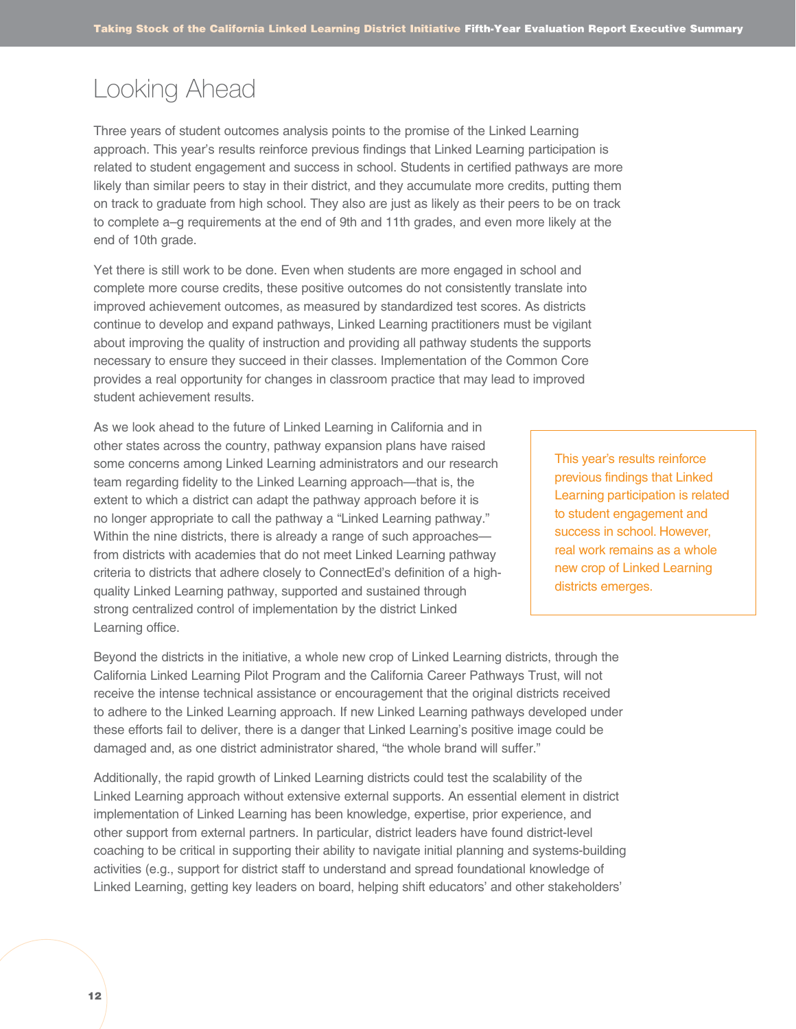# Looking Ahead

Three years of student outcomes analysis points to the promise of the Linked Learning approach. This year's results reinforce previous findings that Linked Learning participation is related to student engagement and success in school. Students in certified pathways are more likely than similar peers to stay in their district, and they accumulate more credits, putting them on track to graduate from high school. They also are just as likely as their peers to be on track to complete a–g requirements at the end of 9th and 11th grades, and even more likely at the end of 10th grade.

Yet there is still work to be done. Even when students are more engaged in school and complete more course credits, these positive outcomes do not consistently translate into improved achievement outcomes, as measured by standardized test scores. As districts continue to develop and expand pathways, Linked Learning practitioners must be vigilant about improving the quality of instruction and providing all pathway students the supports necessary to ensure they succeed in their classes. Implementation of the Common Core provides a real opportunity for changes in classroom practice that may lead to improved student achievement results.

As we look ahead to the future of Linked Learning in California and in other states across the country, pathway expansion plans have raised some concerns among Linked Learning administrators and our research team regarding fidelity to the Linked Learning approach—that is, the extent to which a district can adapt the pathway approach before it is no longer appropriate to call the pathway a "Linked Learning pathway." Within the nine districts, there is already a range of such approaches from districts with academies that do not meet Linked Learning pathway criteria to districts that adhere closely to ConnectEd's definition of a highquality Linked Learning pathway, supported and sustained through strong centralized control of implementation by the district Linked Learning office.

This year's results reinforce previous findings that Linked Learning participation is related to student engagement and success in school. However, real work remains as a whole new crop of Linked Learning districts emerges.

Beyond the districts in the initiative, a whole new crop of Linked Learning districts, through the California Linked Learning Pilot Program and the California Career Pathways Trust, will not receive the intense technical assistance or encouragement that the original districts received to adhere to the Linked Learning approach. If new Linked Learning pathways developed under these efforts fail to deliver, there is a danger that Linked Learning's positive image could be damaged and, as one district administrator shared, "the whole brand will suffer."

Additionally, the rapid growth of Linked Learning districts could test the scalability of the Linked Learning approach without extensive external supports. An essential element in district implementation of Linked Learning has been knowledge, expertise, prior experience, and other support from external partners. In particular, district leaders have found district-level coaching to be critical in supporting their ability to navigate initial planning and systems-building activities (e.g., support for district staff to understand and spread foundational knowledge of Linked Learning, getting key leaders on board, helping shift educators' and other stakeholders'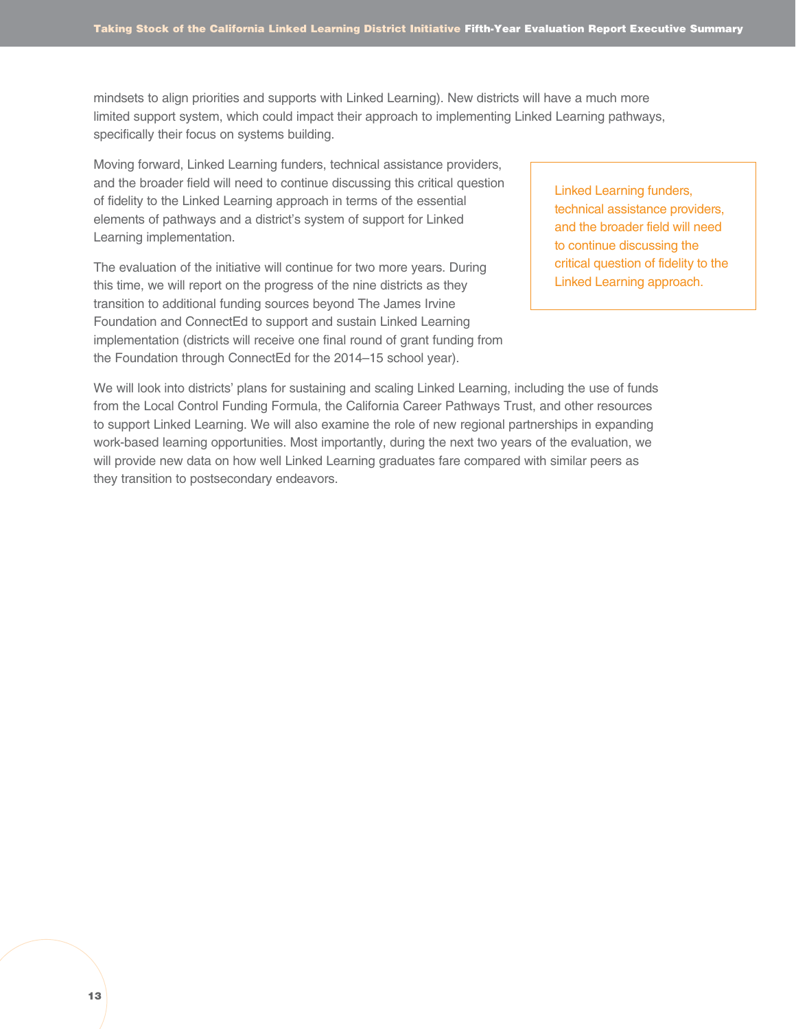mindsets to align priorities and supports with Linked Learning). New districts will have a much more limited support system, which could impact their approach to implementing Linked Learning pathways, specifically their focus on systems building.

Moving forward, Linked Learning funders, technical assistance providers, and the broader field will need to continue discussing this critical question of fidelity to the Linked Learning approach in terms of the essential elements of pathways and a district's system of support for Linked Learning implementation.

The evaluation of the initiative will continue for two more years. During this time, we will report on the progress of the nine districts as they transition to additional funding sources beyond The James Irvine Foundation and ConnectEd to support and sustain Linked Learning implementation (districts will receive one final round of grant funding from the Foundation through ConnectEd for the 2014–15 school year).

Linked Learning funders, technical assistance providers, and the broader field will need to continue discussing the critical question of fidelity to the Linked Learning approach.

We will look into districts' plans for sustaining and scaling Linked Learning, including the use of funds from the Local Control Funding Formula, the California Career Pathways Trust, and other resources to support Linked Learning. We will also examine the role of new regional partnerships in expanding work-based learning opportunities. Most importantly, during the next two years of the evaluation, we will provide new data on how well Linked Learning graduates fare compared with similar peers as they transition to postsecondary endeavors.